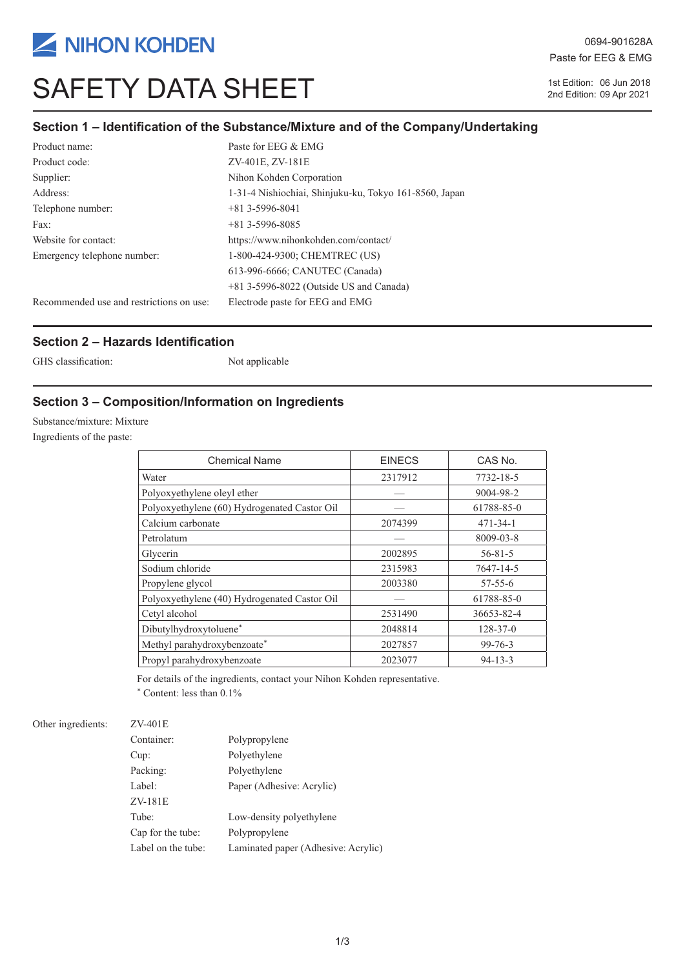

# SAFETY DATA SHEET 15t Edition: 06 Jun 2018

0694-901628A Paste for EEG & EMG

2nd Edition: 09 Apr 2021

### **Section 1 – Identification of the Substance/Mixture and of the Company/Undertaking**

| Product name:                            | Paste for EEG & EMG                                    |
|------------------------------------------|--------------------------------------------------------|
| Product code:                            | ZV-401E, ZV-181E                                       |
| Supplier:                                | Nihon Kohden Corporation                               |
| Address:                                 | 1-31-4 Nishiochiai, Shinjuku-ku, Tokyo 161-8560, Japan |
| Telephone number:                        | $+81$ 3-5996-8041                                      |
| Fax:                                     | $+81$ 3-5996-8085                                      |
| Website for contact:                     | https://www.nihonkohden.com/contact/                   |
| Emergency telephone number:              | 1-800-424-9300; CHEMTREC (US)                          |
|                                          | 613-996-6666; CANUTEC (Canada)                         |
|                                          | $+81$ 3-5996-8022 (Outside US and Canada)              |
| Recommended use and restrictions on use: | Electrode paste for EEG and EMG                        |

#### **Section 2 – Hazards Identification**

GHS classification: Not applicable

### **Section 3 – Composition/Information on Ingredients**

Substance/mixture: Mixture

Ingredients of the paste:

| <b>Chemical Name</b>                         | <b>EINECS</b> | CAS No.        |
|----------------------------------------------|---------------|----------------|
| Water                                        | 2317912       | 7732-18-5      |
| Polyoxyethylene oleyl ether                  |               | 9004-98-2      |
| Polyoxyethylene (60) Hydrogenated Castor Oil |               | 61788-85-0     |
| Calcium carbonate                            | 2074399       | $471 - 34 - 1$ |
| Petrolatum                                   |               | 8009-03-8      |
| Glycerin                                     | 2002895       | $56 - 81 - 5$  |
| Sodium chloride                              | 2315983       | 7647-14-5      |
| Propylene glycol                             | 2003380       | $57 - 55 - 6$  |
| Polyoxyethylene (40) Hydrogenated Castor Oil |               | 61788-85-0     |
| Cetyl alcohol                                | 2531490       | 36653-82-4     |
| Dibutylhydroxytoluene*                       | 2048814       | $128 - 37 - 0$ |
| Methyl parahydroxybenzoate*                  | 2027857       | $99 - 76 - 3$  |
| Propyl parahydroxybenzoate                   | 2023077       | $94 - 13 - 3$  |

For details of the ingredients, contact your Nihon Kohden representative.

\* Content: less than 0.1%

#### Other ingredients: ZV-401E

| Container:         | Polypropylene                       |
|--------------------|-------------------------------------|
| Cup:               | Polyethylene                        |
| Packing:           | Polyethylene                        |
| Label:             | Paper (Adhesive: Acrylic)           |
| ZV-181E            |                                     |
| Tube:              | Low-density polyethylene            |
| Cap for the tube:  | Polypropylene                       |
| Label on the tube: | Laminated paper (Adhesive: Acrylic) |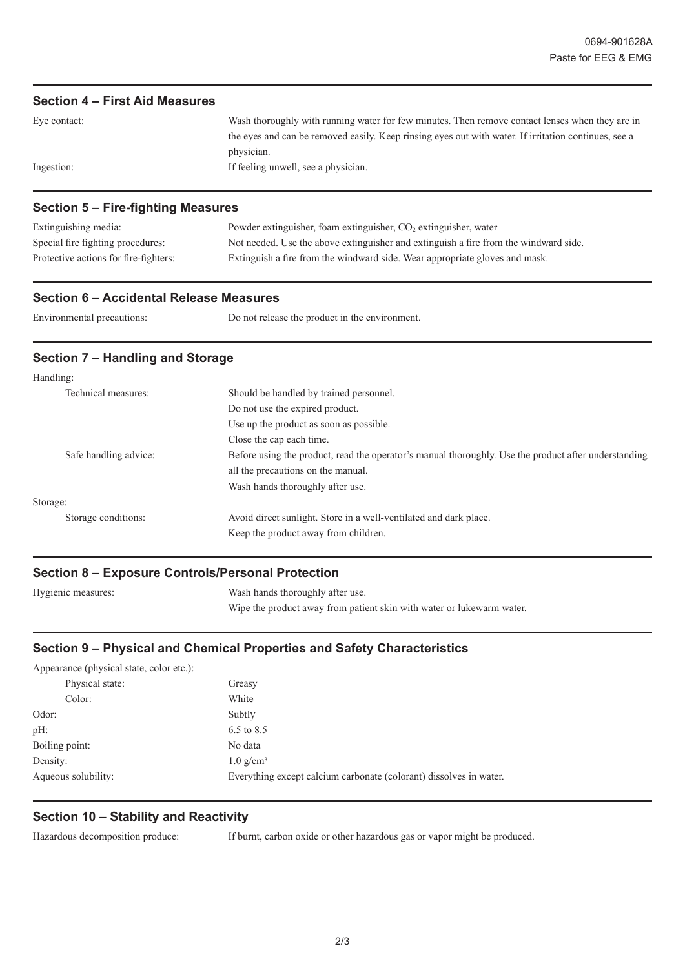#### **Section 4 – First Aid Measures**

| Eye contact: | Wash thoroughly with running water for few minutes. Then remove contact lenses when they are in      |
|--------------|------------------------------------------------------------------------------------------------------|
|              | the eyes and can be removed easily. Keep rinsing eyes out with water. If irritation continues, see a |
|              | physician.                                                                                           |
| Ingestion:   | If feeling unwell, see a physician.                                                                  |
|              |                                                                                                      |

#### **Section 5 – Fire-fighting Measures**

| Extinguishing media:                  | Powder extinguisher, foam extinguisher, $CO2$ extinguisher, water                    |
|---------------------------------------|--------------------------------------------------------------------------------------|
| Special fire fighting procedures:     | Not needed. Use the above extinguisher and extinguish a fire from the windward side. |
| Protective actions for fire-fighters: | Extinguish a fire from the windward side. Wear appropriate gloves and mask.          |

#### **Section 6 – Accidental Release Measures**

| Environmental precautions: | Do not release the product in the environment. |
|----------------------------|------------------------------------------------|
|----------------------------|------------------------------------------------|

#### **Section 7 – Handling and Storage**

| Handling: |                       |                                                                                                      |
|-----------|-----------------------|------------------------------------------------------------------------------------------------------|
|           | Technical measures:   | Should be handled by trained personnel.                                                              |
|           |                       | Do not use the expired product.                                                                      |
|           |                       | Use up the product as soon as possible.                                                              |
|           |                       | Close the cap each time.                                                                             |
|           | Safe handling advice: | Before using the product, read the operator's manual thoroughly. Use the product after understanding |
|           |                       | all the precautions on the manual.                                                                   |
|           |                       | Wash hands thoroughly after use.                                                                     |
| Storage:  |                       |                                                                                                      |
|           | Storage conditions:   | Avoid direct sunlight. Store in a well-ventilated and dark place.                                    |
|           |                       | Keep the product away from children.                                                                 |
|           |                       |                                                                                                      |

#### **Section 8 – Exposure Controls/Personal Protection**

| Hygienic measures: | Wash hands thoroughly after use.                                      |
|--------------------|-----------------------------------------------------------------------|
|                    | Wipe the product away from patient skin with water or lukewarm water. |

# **Section 9 – Physical and Chemical Properties and Safety Characteristics**

| Greasy                                                             |
|--------------------------------------------------------------------|
| White                                                              |
| Subtly                                                             |
| $6.5 \text{ to } 8.5$                                              |
| No data                                                            |
| $1.0 \text{ g/cm}^3$                                               |
| Everything except calcium carbonate (colorant) dissolves in water. |
|                                                                    |

#### **Section 10 – Stability and Reactivity**

Hazardous decomposition produce: If burnt, carbon oxide or other hazardous gas or vapor might be produced.